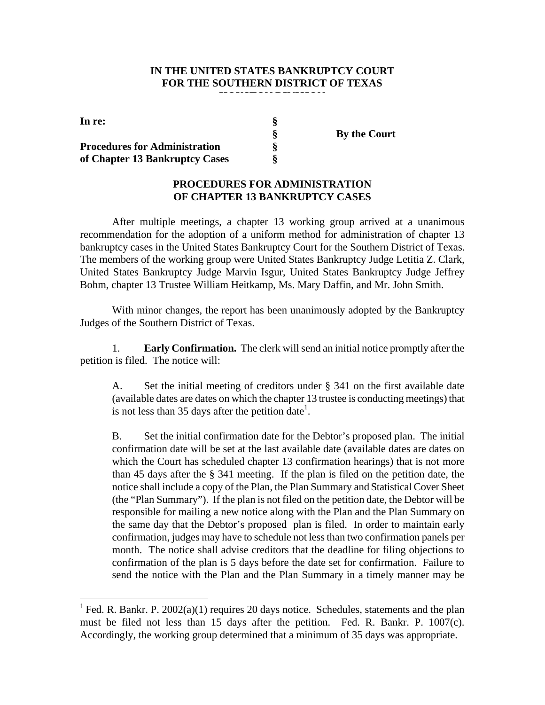#### **IN THE UNITED STATES BANKRUPTCY COURT FOR THE SOUTHERN DISTRICT OF TEXAS**

| In re:                               |  |
|--------------------------------------|--|
|                                      |  |
| <b>Procedures for Administration</b> |  |
| of Chapter 13 Bankruptcy Cases       |  |

**§ By the Court**

## **PROCEDURES FOR ADMINISTRATION OF CHAPTER 13 BANKRUPTCY CASES**

After multiple meetings, a chapter 13 working group arrived at a unanimous recommendation for the adoption of a uniform method for administration of chapter 13 bankruptcy cases in the United States Bankruptcy Court for the Southern District of Texas. The members of the working group were United States Bankruptcy Judge Letitia Z. Clark, United States Bankruptcy Judge Marvin Isgur, United States Bankruptcy Judge Jeffrey Bohm, chapter 13 Trustee William Heitkamp, Ms. Mary Daffin, and Mr. John Smith.

With minor changes, the report has been unanimously adopted by the Bankruptcy Judges of the Southern District of Texas.

1. **Early Confirmation.** The clerk will send an initial notice promptly after the petition is filed. The notice will:

A. Set the initial meeting of creditors under § 341 on the first available date (available dates are dates on which the chapter 13 trustee is conducting meetings) that is not less than 35 days after the petition date<sup>1</sup>.

B. Set the initial confirmation date for the Debtor's proposed plan. The initial confirmation date will be set at the last available date (available dates are dates on which the Court has scheduled chapter 13 confirmation hearings) that is not more than 45 days after the § 341 meeting. If the plan is filed on the petition date, the notice shall include a copy of the Plan, the Plan Summary and Statistical Cover Sheet (the "Plan Summary"). If the plan is not filed on the petition date, the Debtor will be responsible for mailing a new notice along with the Plan and the Plan Summary on the same day that the Debtor's proposed plan is filed. In order to maintain early confirmation, judges may have to schedule not less than two confirmation panels per month. The notice shall advise creditors that the deadline for filing objections to confirmation of the plan is 5 days before the date set for confirmation. Failure to send the notice with the Plan and the Plan Summary in a timely manner may be

<sup>&</sup>lt;sup>1</sup> Fed. R. Bankr. P. 2002(a)(1) requires 20 days notice. Schedules, statements and the plan must be filed not less than 15 days after the petition. Fed. R. Bankr. P. 1007(c). Accordingly, the working group determined that a minimum of 35 days was appropriate.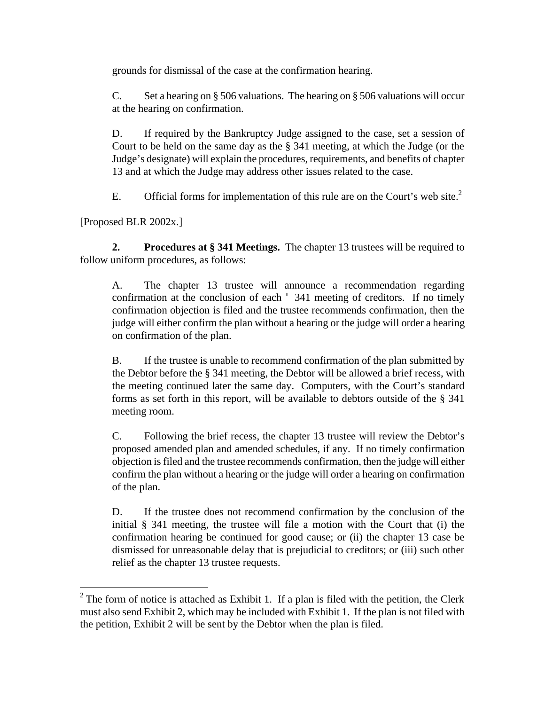grounds for dismissal of the case at the confirmation hearing.

C. Set a hearing on § 506 valuations. The hearing on § 506 valuations will occur at the hearing on confirmation.

D. If required by the Bankruptcy Judge assigned to the case, set a session of Court to be held on the same day as the § 341 meeting, at which the Judge (or the Judge's designate) will explain the procedures, requirements, and benefits of chapter 13 and at which the Judge may address other issues related to the case.

E. Official forms for implementation of this rule are on the Court's web site.<sup>2</sup>

[Proposed BLR 2002x.]

**2. Procedures at § 341 Meetings.** The chapter 13 trustees will be required to follow uniform procedures, as follows:

A. The chapter 13 trustee will announce a recommendation regarding confirmation at the conclusion of each ' 341 meeting of creditors. If no timely confirmation objection is filed and the trustee recommends confirmation, then the judge will either confirm the plan without a hearing or the judge will order a hearing on confirmation of the plan.

B. If the trustee is unable to recommend confirmation of the plan submitted by the Debtor before the § 341 meeting, the Debtor will be allowed a brief recess, with the meeting continued later the same day. Computers, with the Court's standard forms as set forth in this report, will be available to debtors outside of the § 341 meeting room.

C. Following the brief recess, the chapter 13 trustee will review the Debtor's proposed amended plan and amended schedules, if any. If no timely confirmation objection is filed and the trustee recommends confirmation, then the judge will either confirm the plan without a hearing or the judge will order a hearing on confirmation of the plan.

D. If the trustee does not recommend confirmation by the conclusion of the initial § 341 meeting, the trustee will file a motion with the Court that (i) the confirmation hearing be continued for good cause; or (ii) the chapter 13 case be dismissed for unreasonable delay that is prejudicial to creditors; or (iii) such other relief as the chapter 13 trustee requests.

<sup>&</sup>lt;sup>2</sup> The form of notice is attached as Exhibit 1. If a plan is filed with the petition, the Clerk must also send Exhibit 2, which may be included with Exhibit 1. If the plan is not filed with the petition, Exhibit 2 will be sent by the Debtor when the plan is filed.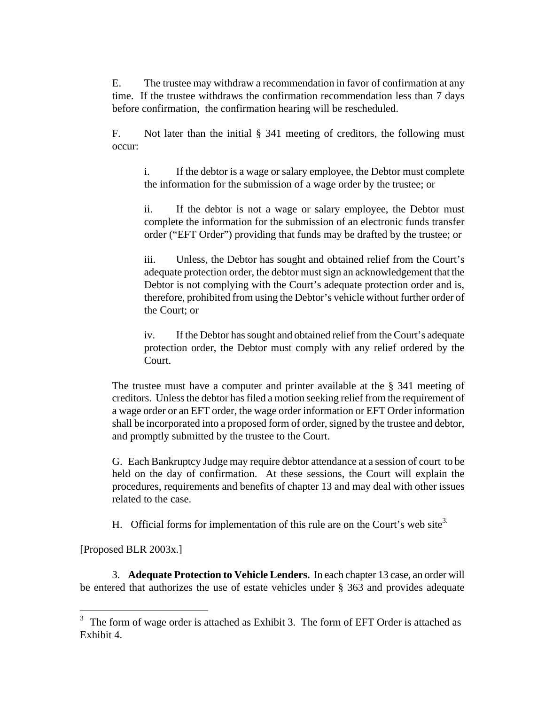E. The trustee may withdraw a recommendation in favor of confirmation at any time. If the trustee withdraws the confirmation recommendation less than 7 days before confirmation, the confirmation hearing will be rescheduled.

F. Not later than the initial § 341 meeting of creditors, the following must occur:

i. If the debtor is a wage or salary employee, the Debtor must complete the information for the submission of a wage order by the trustee; or

ii. If the debtor is not a wage or salary employee, the Debtor must complete the information for the submission of an electronic funds transfer order ("EFT Order") providing that funds may be drafted by the trustee; or

iii. Unless, the Debtor has sought and obtained relief from the Court's adequate protection order, the debtor mustsign an acknowledgement that the Debtor is not complying with the Court's adequate protection order and is, therefore, prohibited from using the Debtor's vehicle without further order of the Court; or

iv. If the Debtor has sought and obtained relief from the Court's adequate protection order, the Debtor must comply with any relief ordered by the Court.

The trustee must have a computer and printer available at the § 341 meeting of creditors. Unless the debtor has filed a motion seeking relief from the requirement of a wage order or an EFT order, the wage order information or EFT Order information shall be incorporated into a proposed form of order, signed by the trustee and debtor, and promptly submitted by the trustee to the Court.

G. Each Bankruptcy Judge may require debtor attendance at a session of court to be held on the day of confirmation. At these sessions, the Court will explain the procedures, requirements and benefits of chapter 13 and may deal with other issues related to the case.

H. Official forms for implementation of this rule are on the Court's web site<sup>3.</sup>

[Proposed BLR 2003x.]

 $\overline{a}$ 

3. **Adequate Protection to Vehicle Lenders.** In each chapter 13 case, an order will be entered that authorizes the use of estate vehicles under § 363 and provides adequate

 $3$  The form of wage order is attached as Exhibit 3. The form of EFT Order is attached as Exhibit 4.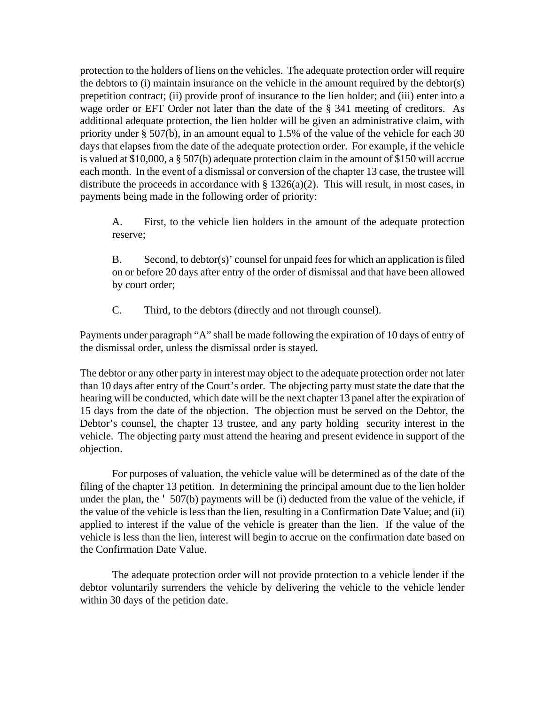protection to the holders of liens on the vehicles. The adequate protection order will require the debtors to (i) maintain insurance on the vehicle in the amount required by the debtor(s) prepetition contract; (ii) provide proof of insurance to the lien holder; and (iii) enter into a wage order or EFT Order not later than the date of the § 341 meeting of creditors. As additional adequate protection, the lien holder will be given an administrative claim, with priority under § 507(b), in an amount equal to 1.5% of the value of the vehicle for each 30 days that elapses from the date of the adequate protection order. For example, if the vehicle is valued at \$10,000, a § 507(b) adequate protection claim in the amount of \$150 will accrue each month. In the event of a dismissal or conversion of the chapter 13 case, the trustee will distribute the proceeds in accordance with  $\S 1326(a)(2)$ . This will result, in most cases, in payments being made in the following order of priority:

A. First, to the vehicle lien holders in the amount of the adequate protection reserve;

B. Second, to debtor(s)' counsel for unpaid fees for which an application is filed on or before 20 days after entry of the order of dismissal and that have been allowed by court order;

C. Third, to the debtors (directly and not through counsel).

Payments under paragraph "A" shall be made following the expiration of 10 days of entry of the dismissal order, unless the dismissal order is stayed.

The debtor or any other party in interest may object to the adequate protection order not later than 10 days after entry of the Court's order. The objecting party must state the date that the hearing will be conducted, which date will be the next chapter 13 panel after the expiration of 15 days from the date of the objection. The objection must be served on the Debtor, the Debtor's counsel, the chapter 13 trustee, and any party holding security interest in the vehicle. The objecting party must attend the hearing and present evidence in support of the objection.

For purposes of valuation, the vehicle value will be determined as of the date of the filing of the chapter 13 petition. In determining the principal amount due to the lien holder under the plan, the ' 507(b) payments will be (i) deducted from the value of the vehicle, if the value of the vehicle is less than the lien, resulting in a Confirmation Date Value; and (ii) applied to interest if the value of the vehicle is greater than the lien. If the value of the vehicle is less than the lien, interest will begin to accrue on the confirmation date based on the Confirmation Date Value.

The adequate protection order will not provide protection to a vehicle lender if the debtor voluntarily surrenders the vehicle by delivering the vehicle to the vehicle lender within 30 days of the petition date.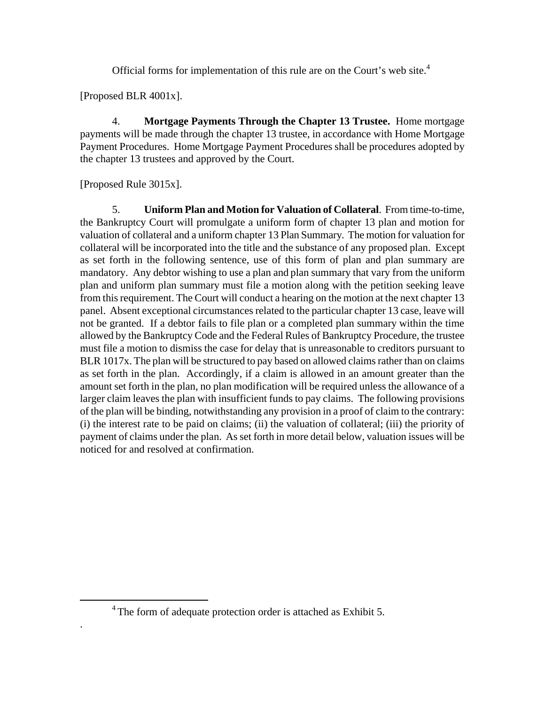Official forms for implementation of this rule are on the Court's web site.<sup>4</sup>

[Proposed BLR 4001x].

4. **Mortgage Payments Through the Chapter 13 Trustee.** Home mortgage payments will be made through the chapter 13 trustee, in accordance with Home Mortgage Payment Procedures. Home Mortgage Payment Procedures shall be procedures adopted by the chapter 13 trustees and approved by the Court.

[Proposed Rule 3015x].

 $\overline{a}$ 

.

5. **Uniform Plan and Motion for Valuation of Collateral**. From time-to-time, the Bankruptcy Court will promulgate a uniform form of chapter 13 plan and motion for valuation of collateral and a uniform chapter 13 Plan Summary. The motion for valuation for collateral will be incorporated into the title and the substance of any proposed plan. Except as set forth in the following sentence, use of this form of plan and plan summary are mandatory. Any debtor wishing to use a plan and plan summary that vary from the uniform plan and uniform plan summary must file a motion along with the petition seeking leave from this requirement. The Court will conduct a hearing on the motion at the next chapter 13 panel. Absent exceptional circumstances related to the particular chapter 13 case, leave will not be granted. If a debtor fails to file plan or a completed plan summary within the time allowed by the Bankruptcy Code and the Federal Rules of Bankruptcy Procedure, the trustee must file a motion to dismiss the case for delay that is unreasonable to creditors pursuant to BLR 1017x. The plan will be structured to pay based on allowed claims rather than on claims as set forth in the plan. Accordingly, if a claim is allowed in an amount greater than the amount set forth in the plan, no plan modification will be required unless the allowance of a larger claim leaves the plan with insufficient funds to pay claims. The following provisions of the plan will be binding, notwithstanding any provision in a proof of claim to the contrary: (i) the interest rate to be paid on claims; (ii) the valuation of collateral; (iii) the priority of payment of claims under the plan. As set forth in more detail below, valuation issues will be noticed for and resolved at confirmation.

<sup>&</sup>lt;sup>4</sup> The form of adequate protection order is attached as Exhibit 5.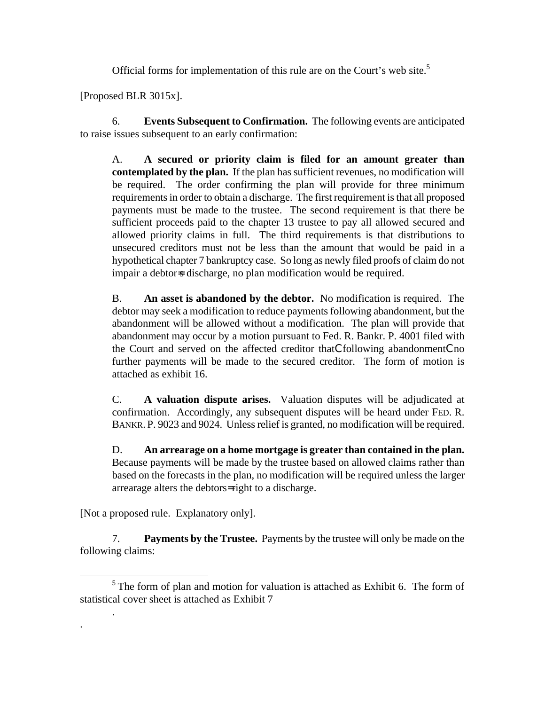Official forms for implementation of this rule are on the Court's web site.<sup>5</sup>

[Proposed BLR 3015x].

6. **Events Subsequent to Confirmation.** The following events are anticipated to raise issues subsequent to an early confirmation:

A. **A secured or priority claim is filed for an amount greater than contemplated by the plan.** If the plan has sufficient revenues, no modification will be required. The order confirming the plan will provide for three minimum requirements in order to obtain a discharge. The first requirement is that all proposed payments must be made to the trustee. The second requirement is that there be sufficient proceeds paid to the chapter 13 trustee to pay all allowed secured and allowed priority claims in full. The third requirements is that distributions to unsecured creditors must not be less than the amount that would be paid in a hypothetical chapter 7 bankruptcy case. So long as newly filed proofs of claim do not impair a debtor s discharge, no plan modification would be required.

B. **An asset is abandoned by the debtor.** No modification is required. The debtor may seek a modification to reduce payments following abandonment, but the abandonment will be allowed without a modification. The plan will provide that abandonment may occur by a motion pursuant to Fed. R. Bankr. P. 4001 filed with the Court and served on the affected creditor thatCfollowing abandonmentCno further payments will be made to the secured creditor. The form of motion is attached as exhibit 16.

C. **A valuation dispute arises.** Valuation disputes will be adjudicated at confirmation. Accordingly, any subsequent disputes will be heard under FED. R. BANKR. P. 9023 and 9024. Unless relief is granted, no modification will be required.

D. **An arrearage on a home mortgage is greater than contained in the plan.**  Because payments will be made by the trustee based on allowed claims rather than based on the forecasts in the plan, no modification will be required unless the larger arrearage alters the debtors= right to a discharge.

[Not a proposed rule. Explanatory only].

<u>.</u>

.

.

7. **Payments by the Trustee.** Payments by the trustee will only be made on the following claims:

 $<sup>5</sup>$  The form of plan and motion for valuation is attached as Exhibit 6. The form of</sup> statistical cover sheet is attached as Exhibit 7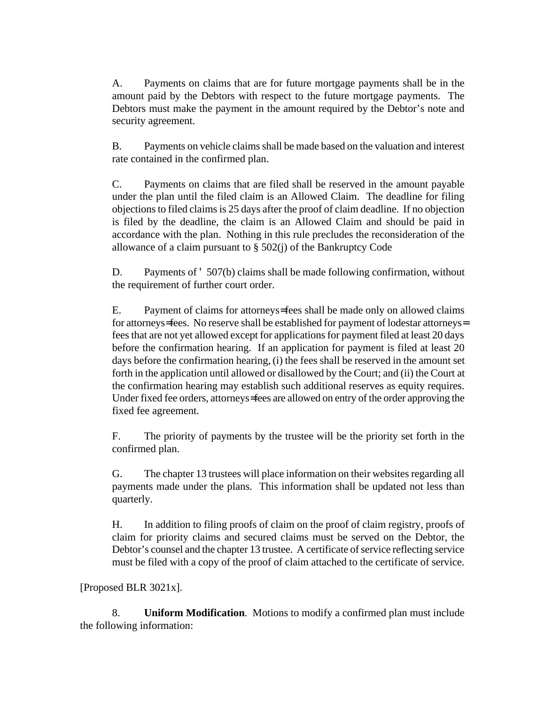A. Payments on claims that are for future mortgage payments shall be in the amount paid by the Debtors with respect to the future mortgage payments. The Debtors must make the payment in the amount required by the Debtor's note and security agreement.

B. Payments on vehicle claims shall be made based on the valuation and interest rate contained in the confirmed plan.

C. Payments on claims that are filed shall be reserved in the amount payable under the plan until the filed claim is an Allowed Claim. The deadline for filing objections to filed claims is 25 days after the proof of claim deadline. If no objection is filed by the deadline, the claim is an Allowed Claim and should be paid in accordance with the plan. Nothing in this rule precludes the reconsideration of the allowance of a claim pursuant to  $\S$  502(j) of the Bankruptcy Code

D. Payments of '507(b) claims shall be made following confirmation, without the requirement of further court order.

E. Payment of claims for attorneys= fees shall be made only on allowed claims for attorneys= fees. No reserve shall be established for payment of lodestar attorneys= fees that are not yet allowed except for applications for payment filed at least 20 days before the confirmation hearing. If an application for payment is filed at least 20 days before the confirmation hearing, (i) the fees shall be reserved in the amount set forth in the application until allowed or disallowed by the Court; and (ii) the Court at the confirmation hearing may establish such additional reserves as equity requires. Under fixed fee orders, attorneys= fees are allowed on entry of the order approving the fixed fee agreement.

F. The priority of payments by the trustee will be the priority set forth in the confirmed plan.

G. The chapter 13 trustees will place information on their websites regarding all payments made under the plans. This information shall be updated not less than quarterly.

H. In addition to filing proofs of claim on the proof of claim registry, proofs of claim for priority claims and secured claims must be served on the Debtor, the Debtor's counsel and the chapter 13 trustee. A certificate of service reflecting service must be filed with a copy of the proof of claim attached to the certificate of service.

[Proposed BLR 3021x].

8. **Uniform Modification**. Motions to modify a confirmed plan must include the following information: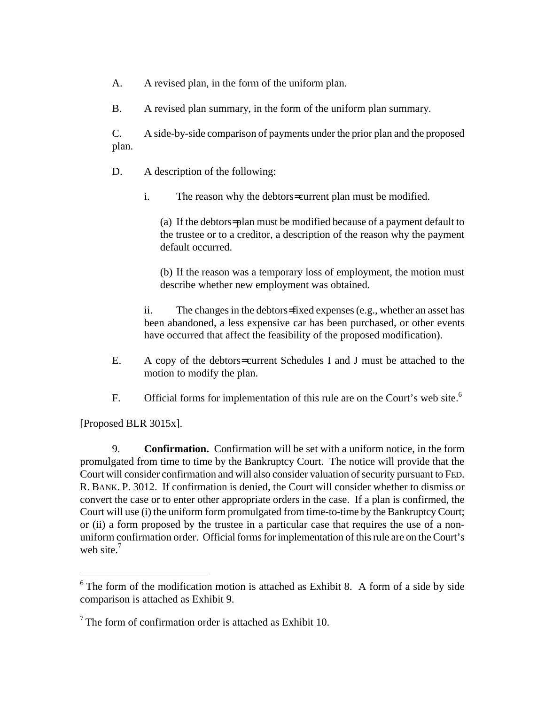A. A revised plan, in the form of the uniform plan.

B. A revised plan summary, in the form of the uniform plan summary.

C. A side-by-side comparison of payments under the prior plan and the proposed plan.

D. A description of the following:

i. The reason why the debtors= current plan must be modified.

(a) If the debtors= plan must be modified because of a payment default to the trustee or to a creditor, a description of the reason why the payment default occurred.

(b) If the reason was a temporary loss of employment, the motion must describe whether new employment was obtained.

ii. The changes in the debtors= fixed expenses (e.g., whether an asset has been abandoned, a less expensive car has been purchased, or other events have occurred that affect the feasibility of the proposed modification).

- E. A copy of the debtors= current Schedules I and J must be attached to the motion to modify the plan.
- F. Official forms for implementation of this rule are on the Court's web site.<sup>6</sup>

[Proposed BLR 3015x].

<u>.</u>

9. **Confirmation.** Confirmation will be set with a uniform notice, in the form promulgated from time to time by the Bankruptcy Court. The notice will provide that the Court will consider confirmation and will also consider valuation of security pursuant to FED. R. BANK. P. 3012. If confirmation is denied, the Court will consider whether to dismiss or convert the case or to enter other appropriate orders in the case. If a plan is confirmed, the Court will use (i) the uniform form promulgated from time-to-time by the Bankruptcy Court; or (ii) a form proposed by the trustee in a particular case that requires the use of a nonuniform confirmation order. Official forms for implementation of this rule are on the Court's web site. $<sup>7</sup>$ </sup>

 $6$  The form of the modification motion is attached as Exhibit 8. A form of a side by side comparison is attached as Exhibit 9.

 $7$  The form of confirmation order is attached as Exhibit 10.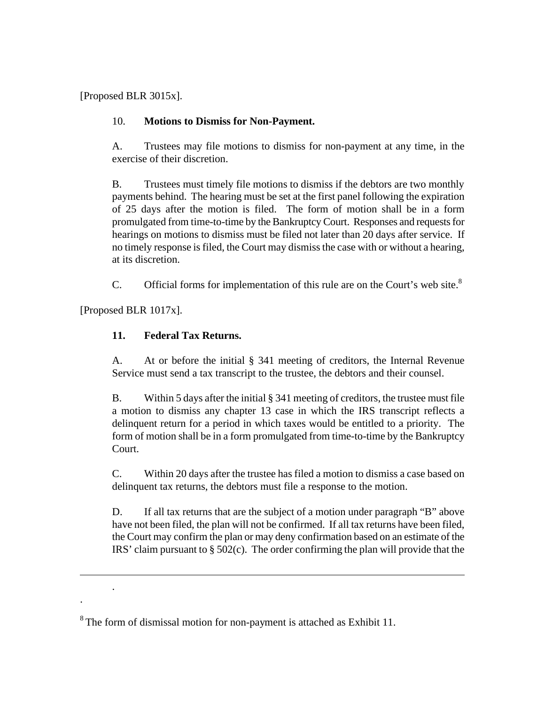[Proposed BLR 3015x].

## 10. **Motions to Dismiss for Non-Payment.**

A. Trustees may file motions to dismiss for non-payment at any time, in the exercise of their discretion.

B. Trustees must timely file motions to dismiss if the debtors are two monthly payments behind. The hearing must be set at the first panel following the expiration of 25 days after the motion is filed. The form of motion shall be in a form promulgated from time-to-time by the Bankruptcy Court. Responses and requests for hearings on motions to dismiss must be filed not later than 20 days after service. If no timely response is filed, the Court may dismiss the case with or without a hearing, at its discretion.

C. Official forms for implementation of this rule are on the Court's web site. $8<sup>8</sup>$ 

[Proposed BLR 1017x].

 $\overline{a}$ 

.

.

## **11. Federal Tax Returns.**

A. At or before the initial § 341 meeting of creditors, the Internal Revenue Service must send a tax transcript to the trustee, the debtors and their counsel.

B. Within 5 days after the initial § 341 meeting of creditors, the trustee must file a motion to dismiss any chapter 13 case in which the IRS transcript reflects a delinquent return for a period in which taxes would be entitled to a priority. The form of motion shall be in a form promulgated from time-to-time by the Bankruptcy Court.

C. Within 20 days after the trustee has filed a motion to dismiss a case based on delinquent tax returns, the debtors must file a response to the motion.

D. If all tax returns that are the subject of a motion under paragraph "B" above have not been filed, the plan will not be confirmed. If all tax returns have been filed, the Court may confirm the plan or may deny confirmation based on an estimate of the IRS' claim pursuant to § 502(c). The order confirming the plan will provide that the

 $8$  The form of dismissal motion for non-payment is attached as Exhibit 11.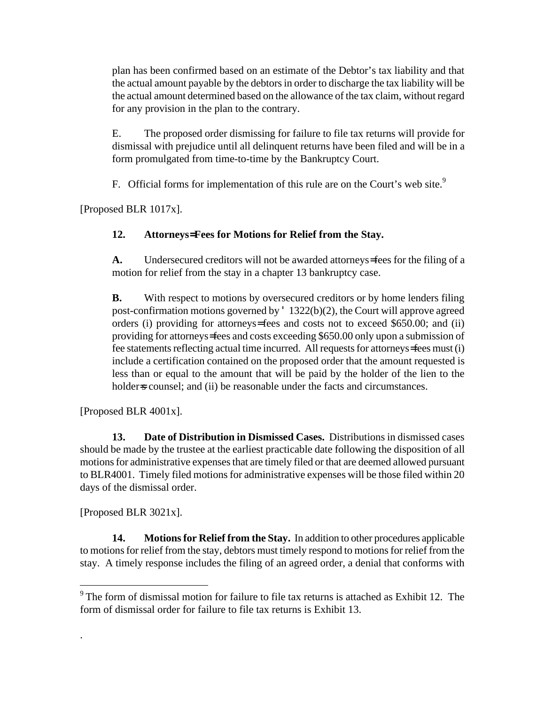plan has been confirmed based on an estimate of the Debtor's tax liability and that the actual amount payable by the debtors in order to discharge the tax liability will be the actual amount determined based on the allowance of the tax claim, without regard for any provision in the plan to the contrary.

E. The proposed order dismissing for failure to file tax returns will provide for dismissal with prejudice until all delinquent returns have been filed and will be in a form promulgated from time-to-time by the Bankruptcy Court.

F. Official forms for implementation of this rule are on the Court's web site.<sup>9</sup>

[Proposed BLR 1017x].

## **12. Attorneys= Fees for Motions for Relief from the Stay.**

**A.** Undersecured creditors will not be awarded attorneys= fees for the filing of a motion for relief from the stay in a chapter 13 bankruptcy case.

**B.** With respect to motions by oversecured creditors or by home lenders filing post-confirmation motions governed by ' 1322(b)(2), the Court will approve agreed orders (i) providing for attorneys= fees and costs not to exceed \$650.00; and (ii) providing for attorneys= fees and costs exceeding \$650.00 only upon a submission of fee statements reflecting actual time incurred. All requests for attorneys= fees must (i) include a certification contained on the proposed order that the amount requested is less than or equal to the amount that will be paid by the holder of the lien to the holder s counsel; and (ii) be reasonable under the facts and circumstances.

[Proposed BLR 4001x].

**13. Date of Distribution in Dismissed Cases.** Distributions in dismissed cases should be made by the trustee at the earliest practicable date following the disposition of all motions for administrative expenses that are timely filed or that are deemed allowed pursuant to BLR4001. Timely filed motions for administrative expenses will be those filed within 20 days of the dismissal order.

[Proposed BLR 3021x].

1

.

**14. Motions for Relief from the Stay.** In addition to other procedures applicable to motions for relief from the stay, debtors must timely respond to motions for relief from the stay. A timely response includes the filing of an agreed order, a denial that conforms with

 $9^9$  The form of dismissal motion for failure to file tax returns is attached as Exhibit 12. The form of dismissal order for failure to file tax returns is Exhibit 13.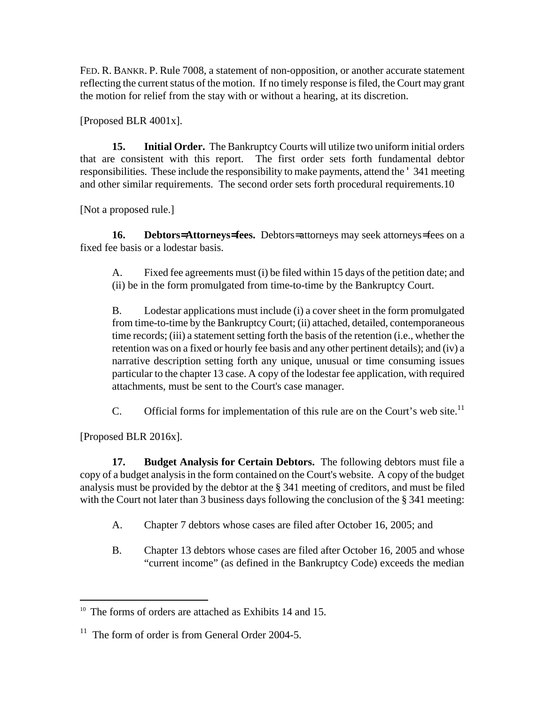FED. R. BANKR. P. Rule 7008, a statement of non-opposition, or another accurate statement reflecting the current status of the motion. If no timely response is filed, the Court may grant the motion for relief from the stay with or without a hearing, at its discretion.

[Proposed BLR 4001x].

**15. Initial Order.** The Bankruptcy Courts will utilize two uniform initial orders that are consistent with this report. The first order sets forth fundamental debtor responsibilities. These include the responsibility to make payments, attend the ' 341 meeting and other similar requirements. The second order sets forth procedural requirements.10

[Not a proposed rule.]

**16. Debtors= Attorneys= fees.** Debtors= attorneys may seek attorneys= fees on a fixed fee basis or a lodestar basis.

A. Fixed fee agreements must (i) be filed within 15 days of the petition date; and (ii) be in the form promulgated from time-to-time by the Bankruptcy Court.

B. Lodestar applications must include (i) a cover sheet in the form promulgated from time-to-time by the Bankruptcy Court; (ii) attached, detailed, contemporaneous time records; (iii) a statement setting forth the basis of the retention (i.e., whether the retention was on a fixed or hourly fee basis and any other pertinent details); and (iv) a narrative description setting forth any unique, unusual or time consuming issues particular to the chapter 13 case. A copy of the lodestar fee application, with required attachments, must be sent to the Court's case manager.

C. Official forms for implementation of this rule are on the Court's web site.<sup>11</sup>

[Proposed BLR 2016x].

 $\overline{a}$ 

**17. Budget Analysis for Certain Debtors.** The following debtors must file a copy of a budget analysis in the form contained on the Court's website. A copy of the budget analysis must be provided by the debtor at the § 341 meeting of creditors, and must be filed with the Court not later than 3 business days following the conclusion of the § 341 meeting:

- A. Chapter 7 debtors whose cases are filed after October 16, 2005; and
- B. Chapter 13 debtors whose cases are filed after October 16, 2005 and whose "current income" (as defined in the Bankruptcy Code) exceeds the median

<sup>&</sup>lt;sup>10</sup> The forms of orders are attached as Exhibits 14 and 15.

 $11$  The form of order is from General Order 2004-5.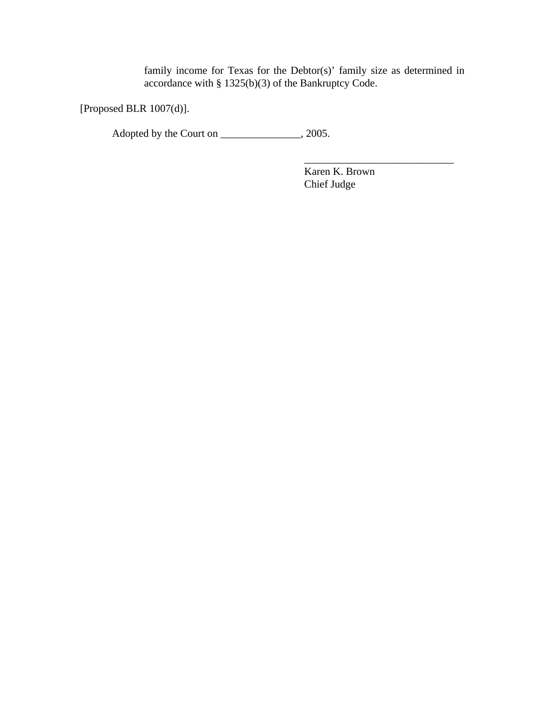family income for Texas for the Debtor(s)' family size as determined in accordance with § 1325(b)(3) of the Bankruptcy Code.

[Proposed BLR 1007(d)].

Adopted by the Court on \_\_\_\_\_\_\_\_\_\_\_\_\_\_, 2005.

Karen K. Brown Chief Judge

\_\_\_\_\_\_\_\_\_\_\_\_\_\_\_\_\_\_\_\_\_\_\_\_\_\_\_\_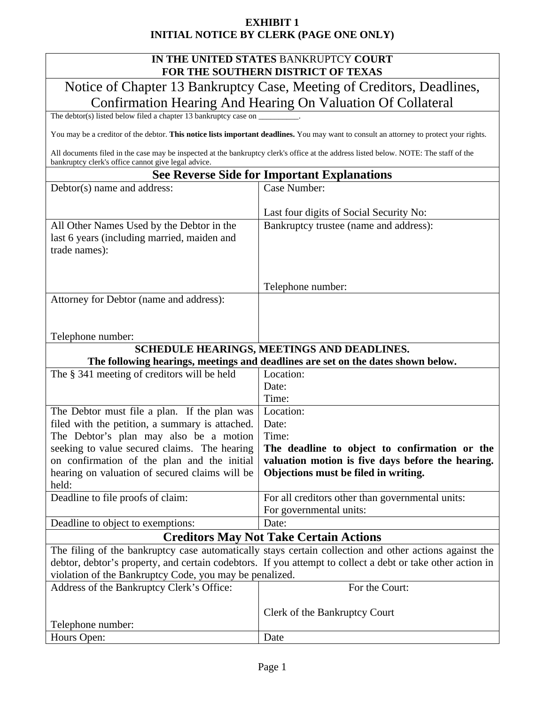## **EXHIBIT 1 INITIAL NOTICE BY CLERK (PAGE ONE ONLY)**

## **IN THE UNITED STATES** BANKRUPTCY **COURT FOR THE SOUTHERN DISTRICT OF TEXAS**

Notice of Chapter 13 Bankruptcy Case, Meeting of Creditors, Deadlines, Confirmation Hearing And Hearing On Valuation Of Collateral

The debtor(s) listed below filed a chapter 13 bankruptcy case on  $\overline{\phantom{a}}$ 

Deadline to object to exemptions:  $|\text{Date}|$ 

You may be a creditor of the debtor. **This notice lists important deadlines.** You may want to consult an attorney to protect your rights.

All documents filed in the case may be inspected at the bankruptcy clerk's office at the address listed below. NOTE: The staff of the bankruptcy clerk's office cannot give legal advice.

## **See Reverse Side for Important Explanations**

| Debtor(s) name and address:                                  | Case Number:                                                                     |  |  |  |
|--------------------------------------------------------------|----------------------------------------------------------------------------------|--|--|--|
|                                                              | Last four digits of Social Security No:                                          |  |  |  |
| All Other Names Used by the Debtor in the                    | Bankruptcy trustee (name and address):                                           |  |  |  |
| last 6 years (including married, maiden and<br>trade names): |                                                                                  |  |  |  |
|                                                              |                                                                                  |  |  |  |
|                                                              |                                                                                  |  |  |  |
|                                                              | Telephone number:                                                                |  |  |  |
| Attorney for Debtor (name and address):                      |                                                                                  |  |  |  |
|                                                              |                                                                                  |  |  |  |
| Telephone number:                                            |                                                                                  |  |  |  |
|                                                              |                                                                                  |  |  |  |
| SCHEDULE HEARINGS, MEETINGS AND DEADLINES.                   |                                                                                  |  |  |  |
|                                                              | The following hearings, meetings and deadlines are set on the dates shown below. |  |  |  |
| The § 341 meeting of creditors will be held                  | Location:                                                                        |  |  |  |
|                                                              | Date:                                                                            |  |  |  |
|                                                              | Time:                                                                            |  |  |  |
| The Debtor must file a plan. If the plan was                 | Location:                                                                        |  |  |  |
| filed with the petition, a summary is attached.              | Date:                                                                            |  |  |  |
| The Debtor's plan may also be a motion                       | Time:                                                                            |  |  |  |
| seeking to value secured claims. The hearing                 | The deadline to object to confirmation or the                                    |  |  |  |
| on confirmation of the plan and the initial                  | valuation motion is five days before the hearing.                                |  |  |  |
| hearing on valuation of secured claims will be               | Objections must be filed in writing.                                             |  |  |  |
| held:                                                        |                                                                                  |  |  |  |
| Deadline to file proofs of claim:                            | For all creditors other than governmental units:                                 |  |  |  |
|                                                              | For governmental units:                                                          |  |  |  |

## **Creditors May Not Take Certain Actions**

The filing of the bankruptcy case automatically stays certain collection and other actions against the debtor, debtor's property, and certain codebtors. If you attempt to collect a debt or take other action in violation of the Bankruptcy Code, you may be penalized.

| Address of the Bankruptcy Clerk's Office: | For the Court:                       |  |  |
|-------------------------------------------|--------------------------------------|--|--|
| Telephone number:                         | <b>Clerk of the Bankruptcy Court</b> |  |  |
| Hours Open:                               | Date                                 |  |  |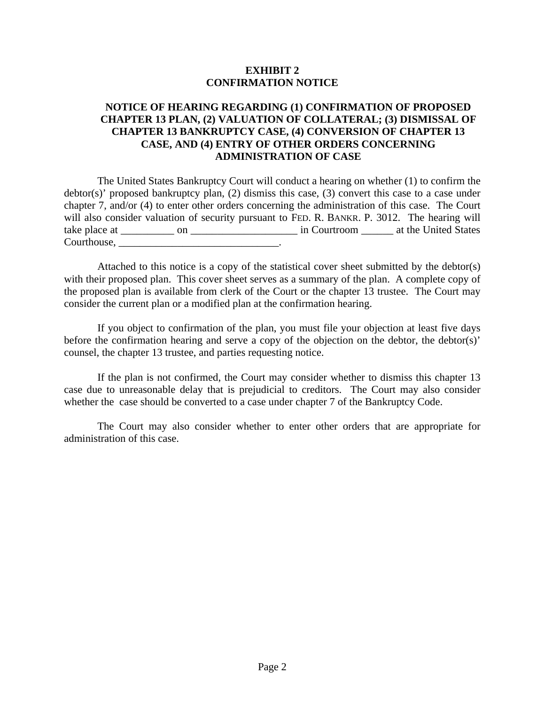## **EXHIBIT 2 CONFIRMATION NOTICE**

## **NOTICE OF HEARING REGARDING (1) CONFIRMATION OF PROPOSED CHAPTER 13 PLAN, (2) VALUATION OF COLLATERAL; (3) DISMISSAL OF CHAPTER 13 BANKRUPTCY CASE, (4) CONVERSION OF CHAPTER 13 CASE, AND (4) ENTRY OF OTHER ORDERS CONCERNING ADMINISTRATION OF CASE**

The United States Bankruptcy Court will conduct a hearing on whether (1) to confirm the debtor(s)' proposed bankruptcy plan, (2) dismiss this case, (3) convert this case to a case under chapter 7, and/or (4) to enter other orders concerning the administration of this case. The Court will also consider valuation of security pursuant to FED. R. BANKR. P. 3012. The hearing will take place at \_\_\_\_\_\_\_\_\_\_ on \_\_\_\_\_\_\_\_\_\_\_\_\_\_\_\_\_\_\_\_ in Courtroom \_\_\_\_\_\_ at the United States Courthouse, \_\_\_\_\_\_\_\_\_\_\_\_\_\_\_\_\_\_\_\_\_\_\_\_\_\_\_\_\_\_.

Attached to this notice is a copy of the statistical cover sheet submitted by the debtor(s) with their proposed plan. This cover sheet serves as a summary of the plan. A complete copy of the proposed plan is available from clerk of the Court or the chapter 13 trustee. The Court may consider the current plan or a modified plan at the confirmation hearing.

If you object to confirmation of the plan, you must file your objection at least five days before the confirmation hearing and serve a copy of the objection on the debtor, the debtor(s)' counsel, the chapter 13 trustee, and parties requesting notice.

If the plan is not confirmed, the Court may consider whether to dismiss this chapter 13 case due to unreasonable delay that is prejudicial to creditors. The Court may also consider whether the case should be converted to a case under chapter 7 of the Bankruptcy Code.

The Court may also consider whether to enter other orders that are appropriate for administration of this case.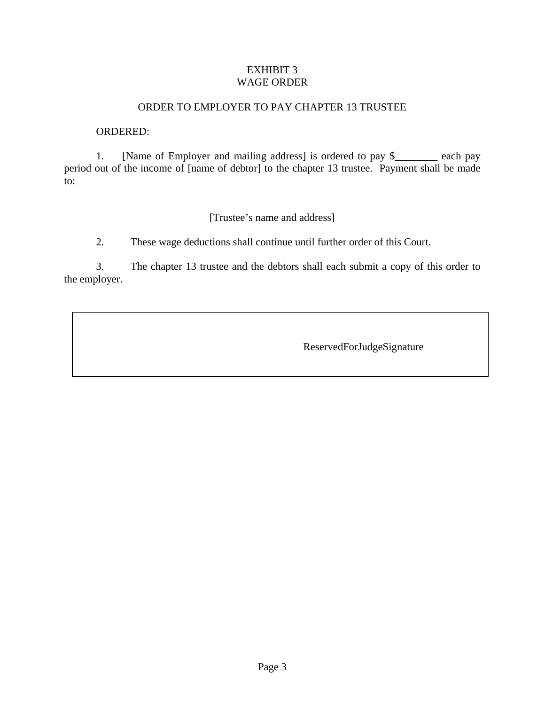## EXHIBIT 3 WAGE ORDER

## ORDER TO EMPLOYER TO PAY CHAPTER 13 TRUSTEE

#### ORDERED:

1. [Name of Employer and mailing address] is ordered to pay \$\_\_\_\_\_\_\_\_ each pay period out of the income of [name of debtor] to the chapter 13 trustee. Payment shall be made to:

## [Trustee's name and address]

2. These wage deductions shall continue until further order of this Court.

3. The chapter 13 trustee and the debtors shall each submit a copy of this order to the employer.

ReservedForJudgeSignature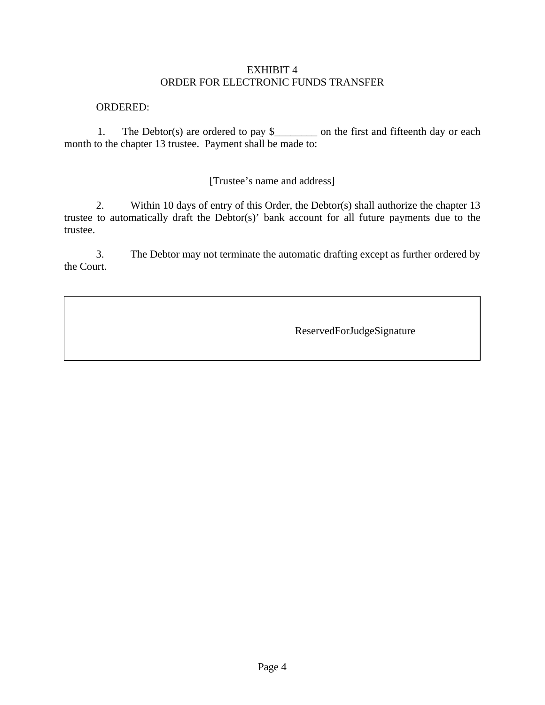## EXHIBIT 4 ORDER FOR ELECTRONIC FUNDS TRANSFER

#### ORDERED:

1. The Debtor(s) are ordered to pay \$\_\_\_\_\_\_\_\_ on the first and fifteenth day or each month to the chapter 13 trustee. Payment shall be made to:

[Trustee's name and address]

2. Within 10 days of entry of this Order, the Debtor(s) shall authorize the chapter 13 trustee to automatically draft the Debtor(s)' bank account for all future payments due to the trustee.

3. The Debtor may not terminate the automatic drafting except as further ordered by the Court.

ReservedForJudgeSignature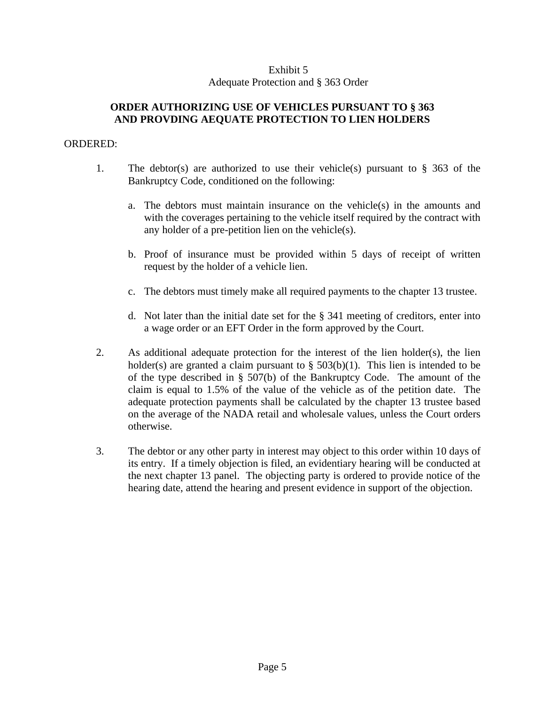## Exhibit 5 Adequate Protection and § 363 Order

## **ORDER AUTHORIZING USE OF VEHICLES PURSUANT TO § 363 AND PROVDING AEQUATE PROTECTION TO LIEN HOLDERS**

#### ORDERED:

- 1. The debtor(s) are authorized to use their vehicle(s) pursuant to  $\S$  363 of the Bankruptcy Code, conditioned on the following:
	- a. The debtors must maintain insurance on the vehicle(s) in the amounts and with the coverages pertaining to the vehicle itself required by the contract with any holder of a pre-petition lien on the vehicle(s).
	- b. Proof of insurance must be provided within 5 days of receipt of written request by the holder of a vehicle lien.
	- c. The debtors must timely make all required payments to the chapter 13 trustee.
	- d. Not later than the initial date set for the § 341 meeting of creditors, enter into a wage order or an EFT Order in the form approved by the Court.
- 2. As additional adequate protection for the interest of the lien holder(s), the lien holder(s) are granted a claim pursuant to  $\S$  503(b)(1). This lien is intended to be of the type described in § 507(b) of the Bankruptcy Code. The amount of the claim is equal to 1.5% of the value of the vehicle as of the petition date. The adequate protection payments shall be calculated by the chapter 13 trustee based on the average of the NADA retail and wholesale values, unless the Court orders otherwise.
- 3. The debtor or any other party in interest may object to this order within 10 days of its entry. If a timely objection is filed, an evidentiary hearing will be conducted at the next chapter 13 panel. The objecting party is ordered to provide notice of the hearing date, attend the hearing and present evidence in support of the objection.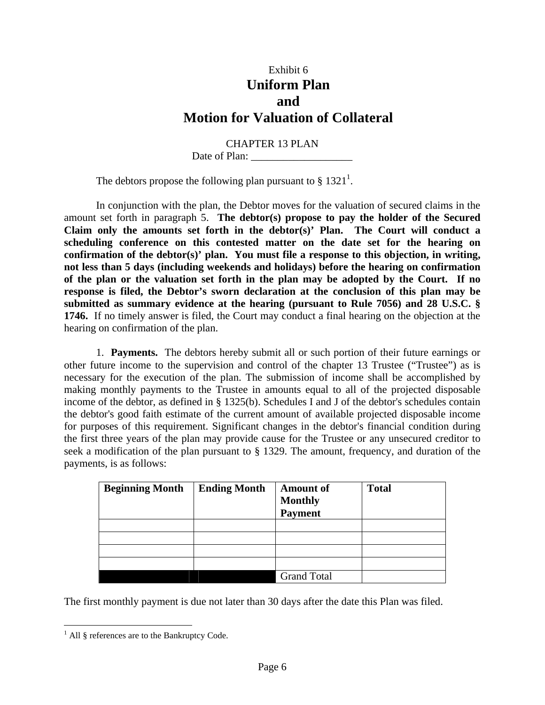# Exhibit 6 **Uniform Plan and Motion for Valuation of Collateral**

CHAPTER 13 PLAN Date of Plan: \_\_\_\_\_\_\_\_\_\_\_\_\_\_\_\_\_\_\_

The debtors propose the following plan pursuant to §  $1321<sup>1</sup>$ .

In conjunction with the plan, the Debtor moves for the valuation of secured claims in the amount set forth in paragraph 5. **The debtor(s) propose to pay the holder of the Secured Claim only the amounts set forth in the debtor(s)' Plan. The Court will conduct a scheduling conference on this contested matter on the date set for the hearing on confirmation of the debtor(s)' plan. You must file a response to this objection, in writing, not less than 5 days (including weekends and holidays) before the hearing on confirmation of the plan or the valuation set forth in the plan may be adopted by the Court. If no response is filed, the Debtor's sworn declaration at the conclusion of this plan may be submitted as summary evidence at the hearing (pursuant to Rule 7056) and 28 U.S.C. § 1746.** If no timely answer is filed, the Court may conduct a final hearing on the objection at the hearing on confirmation of the plan.

1. **Payments.** The debtors hereby submit all or such portion of their future earnings or other future income to the supervision and control of the chapter 13 Trustee ("Trustee") as is necessary for the execution of the plan. The submission of income shall be accomplished by making monthly payments to the Trustee in amounts equal to all of the projected disposable income of the debtor, as defined in § 1325(b). Schedules I and J of the debtor's schedules contain the debtor's good faith estimate of the current amount of available projected disposable income for purposes of this requirement. Significant changes in the debtor's financial condition during the first three years of the plan may provide cause for the Trustee or any unsecured creditor to seek a modification of the plan pursuant to § 1329. The amount, frequency, and duration of the payments, is as follows:

| <b>Beginning Month</b> | <b>Ending Month</b> | <b>Amount of</b><br><b>Monthly</b><br><b>Payment</b> | <b>Total</b> |
|------------------------|---------------------|------------------------------------------------------|--------------|
|                        |                     |                                                      |              |
|                        |                     |                                                      |              |
|                        |                     |                                                      |              |
|                        |                     |                                                      |              |
|                        |                     | <b>Grand Total</b>                                   |              |

The first monthly payment is due not later than 30 days after the date this Plan was filed.

 1 All § references are to the Bankruptcy Code.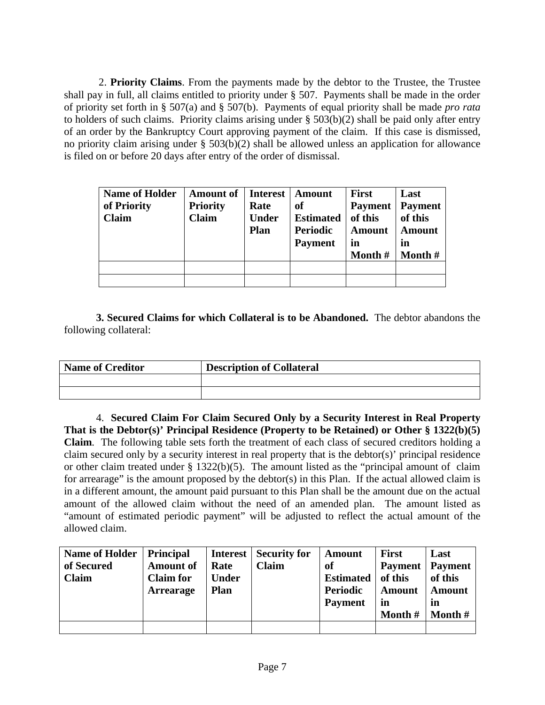2. **Priority Claims**. From the payments made by the debtor to the Trustee, the Trustee shall pay in full, all claims entitled to priority under § 507. Payments shall be made in the order of priority set forth in § 507(a) and § 507(b). Payments of equal priority shall be made *pro rata* to holders of such claims. Priority claims arising under § 503(b)(2) shall be paid only after entry of an order by the Bankruptcy Court approving payment of the claim. If this case is dismissed, no priority claim arising under § 503(b)(2) shall be allowed unless an application for allowance is filed on or before 20 days after entry of the order of dismissal.

| <b>Name of Holder</b><br>of Priority<br><b>Claim</b> | <b>Amount of</b><br><b>Priority</b><br><b>Claim</b> | Interest  <br>Rate<br><b>Under</b><br><b>Plan</b> | <b>Amount</b><br><b>of</b><br><b>Estimated</b><br><b>Periodic</b><br><b>Payment</b> | <b>First</b><br><b>Payment</b><br>of this<br><b>Amount</b><br>in<br>Month $#$ | Last<br><b>Payment</b><br>of this<br><b>Amount</b><br>in<br>Month $#$ |
|------------------------------------------------------|-----------------------------------------------------|---------------------------------------------------|-------------------------------------------------------------------------------------|-------------------------------------------------------------------------------|-----------------------------------------------------------------------|
|                                                      |                                                     |                                                   |                                                                                     |                                                                               |                                                                       |
|                                                      |                                                     |                                                   |                                                                                     |                                                                               |                                                                       |

**3. Secured Claims for which Collateral is to be Abandoned.** The debtor abandons the following collateral:

| <b>Name of Creditor</b> | <b>Description of Collateral</b> |
|-------------------------|----------------------------------|
|                         |                                  |
|                         |                                  |

4. **Secured Claim For Claim Secured Only by a Security Interest in Real Property That is the Debtor(s)' Principal Residence (Property to be Retained) or Other § 1322(b)(5) Claim**. The following table sets forth the treatment of each class of secured creditors holding a claim secured only by a security interest in real property that is the debtor(s)' principal residence or other claim treated under § 1322(b)(5). The amount listed as the "principal amount of claim for arrearage" is the amount proposed by the debtor(s) in this Plan. If the actual allowed claim is in a different amount, the amount paid pursuant to this Plan shall be the amount due on the actual amount of the allowed claim without the need of an amended plan. The amount listed as "amount of estimated periodic payment" will be adjusted to reflect the actual amount of the allowed claim.

| Name of Holder   Principal<br>of Secured<br><b>Claim</b> | <b>Amount of</b><br><b>Claim</b> for<br><b>Arrearage</b> | <b>Interest</b><br>Rate<br><b>Under</b><br><b>Plan</b> | <b>Security for</b><br><b>Claim</b> | Amount<br>of<br><b>Estimated</b><br>Periodic | <b>First</b><br><b>Payment</b><br>of this<br>Amount | Last<br><b>Payment</b><br>of this<br><b>Amount</b> |
|----------------------------------------------------------|----------------------------------------------------------|--------------------------------------------------------|-------------------------------------|----------------------------------------------|-----------------------------------------------------|----------------------------------------------------|
|                                                          |                                                          |                                                        |                                     | <b>Payment</b>                               | in<br>Month #                                       | $\mathbf{m}$<br>Month $#$                          |
|                                                          |                                                          |                                                        |                                     |                                              |                                                     |                                                    |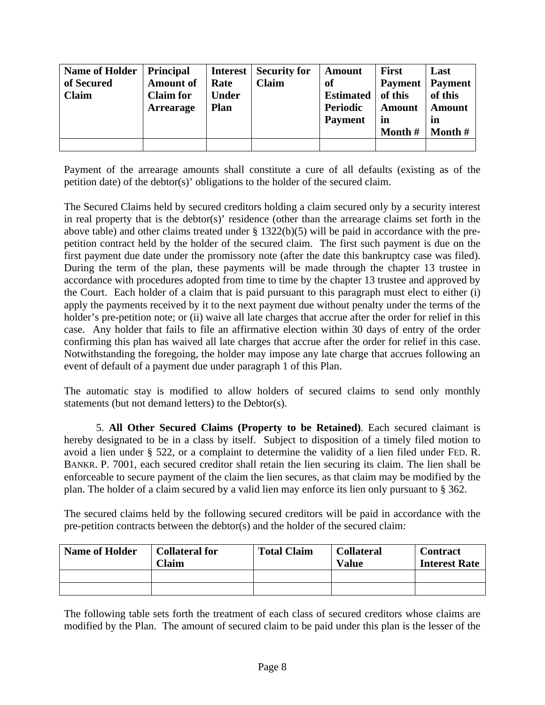| <b>Name of Holder</b><br>of Secured<br><b>Claim</b> | <b>Principal</b><br><b>Amount of</b><br><b>Claim for</b><br><b>Arrearage</b> | <b>Interest</b><br>Rate<br><b>Under</b><br><b>Plan</b> | <b>Security for</b><br><b>Claim</b> | Amount<br>of<br><b>Estimated</b><br>Periodic<br><b>Payment</b> | <b>First</b><br><b>Payment</b><br>of this<br><b>Amount</b><br>in<br>Month $#$ | Last<br><b>Payment</b><br>of this<br><b>Amount</b><br><i>in</i><br>Month $#$ |
|-----------------------------------------------------|------------------------------------------------------------------------------|--------------------------------------------------------|-------------------------------------|----------------------------------------------------------------|-------------------------------------------------------------------------------|------------------------------------------------------------------------------|
|                                                     |                                                                              |                                                        |                                     |                                                                |                                                                               |                                                                              |

Payment of the arrearage amounts shall constitute a cure of all defaults (existing as of the petition date) of the debtor(s)' obligations to the holder of the secured claim.

The Secured Claims held by secured creditors holding a claim secured only by a security interest in real property that is the debtor(s)' residence (other than the arrearage claims set forth in the above table) and other claims treated under § 1322(b)(5) will be paid in accordance with the prepetition contract held by the holder of the secured claim. The first such payment is due on the first payment due date under the promissory note (after the date this bankruptcy case was filed). During the term of the plan, these payments will be made through the chapter 13 trustee in accordance with procedures adopted from time to time by the chapter 13 trustee and approved by the Court. Each holder of a claim that is paid pursuant to this paragraph must elect to either (i) apply the payments received by it to the next payment due without penalty under the terms of the holder's pre-petition note; or (ii) waive all late charges that accrue after the order for relief in this case. Any holder that fails to file an affirmative election within 30 days of entry of the order confirming this plan has waived all late charges that accrue after the order for relief in this case. Notwithstanding the foregoing, the holder may impose any late charge that accrues following an event of default of a payment due under paragraph 1 of this Plan.

The automatic stay is modified to allow holders of secured claims to send only monthly statements (but not demand letters) to the Debtor(s).

5. **All Other Secured Claims (Property to be Retained)**. Each secured claimant is hereby designated to be in a class by itself. Subject to disposition of a timely filed motion to avoid a lien under § 522, or a complaint to determine the validity of a lien filed under FED. R. BANKR. P. 7001, each secured creditor shall retain the lien securing its claim. The lien shall be enforceable to secure payment of the claim the lien secures, as that claim may be modified by the plan. The holder of a claim secured by a valid lien may enforce its lien only pursuant to § 362.

The secured claims held by the following secured creditors will be paid in accordance with the pre-petition contracts between the debtor(s) and the holder of the secured claim:

| <b>Name of Holder</b> | <b>Collateral for</b><br>$\alpha$ laim | <b>Total Claim</b> | <b>Collateral</b><br><b>Value</b> | <b>Contract</b><br><b>Interest Rate</b> |  |
|-----------------------|----------------------------------------|--------------------|-----------------------------------|-----------------------------------------|--|
|                       |                                        |                    |                                   |                                         |  |
|                       |                                        |                    |                                   |                                         |  |

The following table sets forth the treatment of each class of secured creditors whose claims are modified by the Plan. The amount of secured claim to be paid under this plan is the lesser of the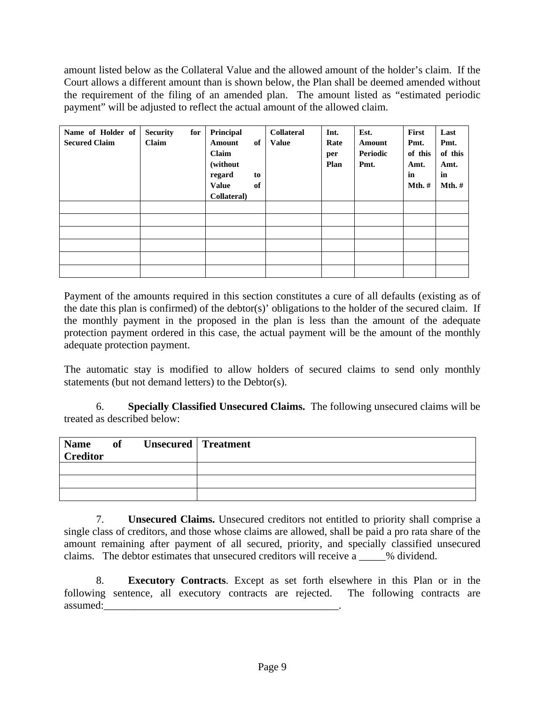amount listed below as the Collateral Value and the allowed amount of the holder's claim. If the Court allows a different amount than is shown below, the Plan shall be deemed amended without the requirement of the filing of an amended plan. The amount listed as "estimated periodic payment" will be adjusted to reflect the actual amount of the allowed claim.

| Name of Holder of<br><b>Secured Claim</b> | <b>Security</b><br>Claim | for | Principal<br>of<br><b>Amount</b><br>Claim<br>(without<br>regard<br>to<br><b>Value</b><br>of<br>Collateral) | <b>Collateral</b><br><b>Value</b> | Int.<br>Rate<br>per<br>Plan | Est.<br>Amount<br>Periodic<br>Pmt. | First<br>Pmt.<br>of this<br>Amt.<br>in<br>$Mth$ .# | Last<br>Pmt.<br>of this<br>Amt.<br>in<br>$Mth$ .# |
|-------------------------------------------|--------------------------|-----|------------------------------------------------------------------------------------------------------------|-----------------------------------|-----------------------------|------------------------------------|----------------------------------------------------|---------------------------------------------------|
|                                           |                          |     |                                                                                                            |                                   |                             |                                    |                                                    |                                                   |
|                                           |                          |     |                                                                                                            |                                   |                             |                                    |                                                    |                                                   |
|                                           |                          |     |                                                                                                            |                                   |                             |                                    |                                                    |                                                   |
|                                           |                          |     |                                                                                                            |                                   |                             |                                    |                                                    |                                                   |
|                                           |                          |     |                                                                                                            |                                   |                             |                                    |                                                    |                                                   |
|                                           |                          |     |                                                                                                            |                                   |                             |                                    |                                                    |                                                   |

Payment of the amounts required in this section constitutes a cure of all defaults (existing as of the date this plan is confirmed) of the debtor(s)' obligations to the holder of the secured claim. If the monthly payment in the proposed in the plan is less than the amount of the adequate protection payment ordered in this case, the actual payment will be the amount of the monthly adequate protection payment.

The automatic stay is modified to allow holders of secured claims to send only monthly statements (but not demand letters) to the Debtor(s).

6. **Specially Classified Unsecured Claims.** The following unsecured claims will be treated as described below:

| <b>Name</b><br><b>Creditor</b> | of Unsecured Treatment |  |
|--------------------------------|------------------------|--|
|                                |                        |  |
|                                |                        |  |
|                                |                        |  |

7. **Unsecured Claims.** Unsecured creditors not entitled to priority shall comprise a single class of creditors, and those whose claims are allowed, shall be paid a pro rata share of the amount remaining after payment of all secured, priority, and specially classified unsecured claims. The debtor estimates that unsecured creditors will receive a \_\_\_\_\_% dividend.

8. **Executory Contracts**. Except as set forth elsewhere in this Plan or in the following sentence, all executory contracts are rejected. The following contracts are assumed: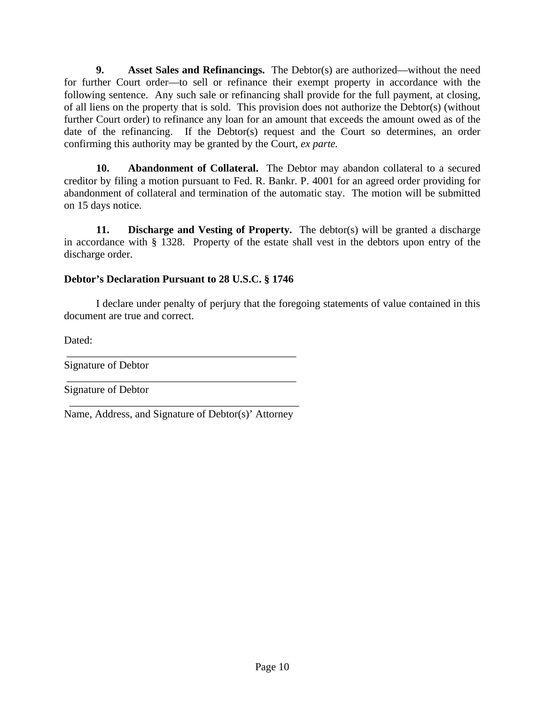**9. Asset Sales and Refinancings.** The Debtor(s) are authorized—without the need for further Court order—to sell or refinance their exempt property in accordance with the following sentence. Any such sale or refinancing shall provide for the full payment, at closing, of all liens on the property that is sold. This provision does not authorize the Debtor(s) (without further Court order) to refinance any loan for an amount that exceeds the amount owed as of the date of the refinancing. If the Debtor(s) request and the Court so determines, an order confirming this authority may be granted by the Court, *ex parte.*

**10. Abandonment of Collateral.** The Debtor may abandon collateral to a secured creditor by filing a motion pursuant to Fed. R. Bankr. P. 4001 for an agreed order providing for abandonment of collateral and termination of the automatic stay. The motion will be submitted on 15 days notice.

**11. Discharge and Vesting of Property.** The debtor(s) will be granted a discharge in accordance with § 1328. Property of the estate shall vest in the debtors upon entry of the discharge order.

## **Debtor's Declaration Pursuant to 28 U.S.C. § 1746**

I declare under penalty of perjury that the foregoing statements of value contained in this document are true and correct.

Dated:

Signature of Debtor

Signature of Debtor

 \_\_\_\_\_\_\_\_\_\_\_\_\_\_\_\_\_\_\_\_\_\_\_\_\_\_\_\_\_\_\_\_\_\_\_\_\_\_\_\_\_\_\_ Name, Address, and Signature of Debtor(s)' Attorney

\_\_\_\_\_\_\_\_\_\_\_\_\_\_\_\_\_\_\_\_\_\_\_\_\_\_\_\_\_\_\_\_\_\_\_\_\_\_\_\_\_\_\_

\_\_\_\_\_\_\_\_\_\_\_\_\_\_\_\_\_\_\_\_\_\_\_\_\_\_\_\_\_\_\_\_\_\_\_\_\_\_\_\_\_\_\_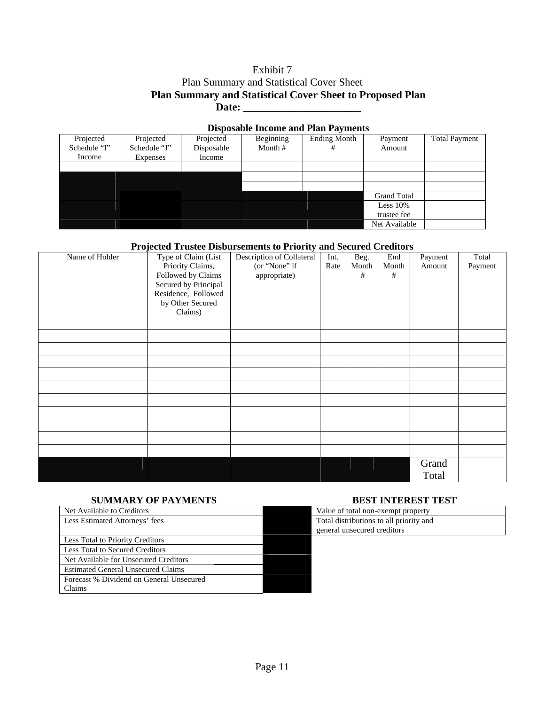## Exhibit 7 Plan Summary and Statistical Cover Sheet **Plan Summary and Statistical Cover Sheet to Proposed Plan** Date:

| <b>Disposable Income and Plan Payments</b> |              |            |           |                     |                    |                      |  |  |  |  |
|--------------------------------------------|--------------|------------|-----------|---------------------|--------------------|----------------------|--|--|--|--|
| Projected                                  | Projected    | Projected  | Beginning | <b>Ending Month</b> | Payment            | <b>Total Payment</b> |  |  |  |  |
| Schedule "I"                               | Schedule "J" | Disposable | Month $#$ | #                   | Amount             |                      |  |  |  |  |
| Income                                     | Expenses     | Income     |           |                     |                    |                      |  |  |  |  |
|                                            |              |            |           |                     |                    |                      |  |  |  |  |
|                                            |              |            |           |                     |                    |                      |  |  |  |  |
|                                            |              |            |           |                     |                    |                      |  |  |  |  |
|                                            |              |            |           |                     | <b>Grand Total</b> |                      |  |  |  |  |
|                                            |              |            |           |                     | Less $10\%$        |                      |  |  |  |  |
|                                            |              |            |           |                     | trustee fee        |                      |  |  |  |  |
|                                            |              |            |           |                     | Net Available      |                      |  |  |  |  |

#### **Projected Trustee Disbursements to Priority and Secured Creditors**

| Name of Holder | Type of Claim (List<br>Priority Claims,<br>Followed by Claims<br>Secured by Principal<br>Residence, Followed<br>by Other Secured<br>Claims) | Description of Collateral<br>(or "None" if<br>appropriate) | Int.<br>Rate | Beg.<br>Month<br># | End<br>Month<br># | Payment<br>Amount | Total<br>Payment |
|----------------|---------------------------------------------------------------------------------------------------------------------------------------------|------------------------------------------------------------|--------------|--------------------|-------------------|-------------------|------------------|
|                |                                                                                                                                             |                                                            |              |                    |                   |                   |                  |
|                |                                                                                                                                             |                                                            |              |                    |                   |                   |                  |
|                |                                                                                                                                             |                                                            |              |                    |                   |                   |                  |
|                |                                                                                                                                             |                                                            |              |                    |                   |                   |                  |
|                |                                                                                                                                             |                                                            |              |                    |                   |                   |                  |
|                |                                                                                                                                             |                                                            |              |                    |                   |                   |                  |
|                |                                                                                                                                             |                                                            |              |                    |                   |                   |                  |
|                |                                                                                                                                             |                                                            |              |                    |                   |                   |                  |
|                |                                                                                                                                             |                                                            |              |                    |                   |                   |                  |
|                |                                                                                                                                             |                                                            |              |                    |                   |                   |                  |
|                |                                                                                                                                             |                                                            |              |                    |                   |                   |                  |
|                |                                                                                                                                             |                                                            |              |                    |                   | Grand<br>Total    |                  |

#### **SUMMARY OF PAYMENTS BEST INTEREST TEST**

| Net Available to Creditors                | Value of total non-exempt property      |
|-------------------------------------------|-----------------------------------------|
| Less Estimated Attorneys' fees            | Total distributions to all priority and |
|                                           | general unsecured creditors             |
| Less Total to Priority Creditors          |                                         |
| Less Total to Secured Creditors           |                                         |
| Net Available for Unsecured Creditors     |                                         |
| <b>Estimated General Unsecured Claims</b> |                                         |
| Forecast % Dividend on General Unsecured  |                                         |
| Claims                                    |                                         |

| Value of total non-exempt property      |  |
|-----------------------------------------|--|
| Total distributions to all priority and |  |
| general unsecured creditors             |  |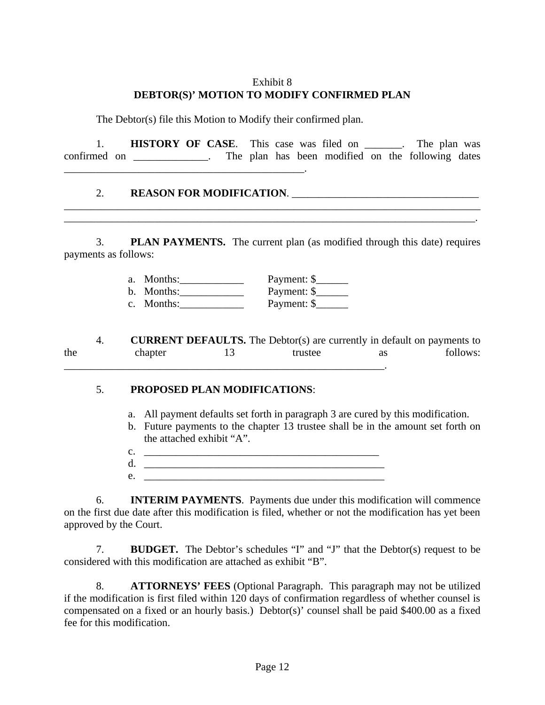## Exhibit 8 **DEBTOR(S)' MOTION TO MODIFY CONFIRMED PLAN**

The Debtor(s) file this Motion to Modify their confirmed plan.

1. **HISTORY OF CASE**. This case was filed on \_\_\_\_\_\_\_. The plan was confirmed on \_\_\_\_\_\_\_\_\_\_\_\_. The plan has been modified on the following dates \_\_\_\_\_\_\_\_\_\_\_\_\_\_\_\_\_\_\_\_\_\_\_\_\_\_\_\_\_\_\_\_\_\_\_\_\_\_\_\_\_\_\_\_\_.

#### 2. **REASON FOR MODIFICATION. EXECUTE:**

3. **PLAN PAYMENTS.** The current plan (as modified through this date) requires payments as follows:

\_\_\_\_\_\_\_\_\_\_\_\_\_\_\_\_\_\_\_\_\_\_\_\_\_\_\_\_\_\_\_\_\_\_\_\_\_\_\_\_\_\_\_\_\_\_\_\_\_\_\_\_\_\_\_\_\_\_\_\_\_\_\_\_\_\_\_\_\_\_\_\_\_\_\_\_\_\_ \_\_\_\_\_\_\_\_\_\_\_\_\_\_\_\_\_\_\_\_\_\_\_\_\_\_\_\_\_\_\_\_\_\_\_\_\_\_\_\_\_\_\_\_\_\_\_\_\_\_\_\_\_\_\_\_\_\_\_\_\_\_\_\_\_\_\_\_\_\_\_\_\_\_\_\_\_.

> a. Months: <u>Denemic Schotter Payment: \$</u><br> **b.** Months: <u>Denemic Schotter</u> Payment: \$ b. Months:  $\frac{1}{2}$ c. Months:  $\qquad \qquad$  Payment: \$

4. **CURRENT DEFAULTS.** The Debtor(s) are currently in default on payments to the chapter 13 trustee as follows:  $\mathcal{L}_\text{max}$ 

#### 5. **PROPOSED PLAN MODIFICATIONS**:

- a. All payment defaults set forth in paragraph 3 are cured by this modification.
- b. Future payments to the chapter 13 trustee shall be in the amount set forth on the attached exhibit "A".
- $c.$   $\qquad \qquad \qquad$
- d. \_\_\_\_\_\_\_\_\_\_\_\_\_\_\_\_\_\_\_\_\_\_\_\_\_\_\_\_\_\_\_\_\_\_\_\_\_\_\_\_\_\_\_\_\_
- $e.$

6. **INTERIM PAYMENTS**. Payments due under this modification will commence on the first due date after this modification is filed, whether or not the modification has yet been approved by the Court.

7. **BUDGET.** The Debtor's schedules "I" and "J" that the Debtor(s) request to be considered with this modification are attached as exhibit "B".

8. **ATTORNEYS' FEES** (Optional Paragraph. This paragraph may not be utilized if the modification is first filed within 120 days of confirmation regardless of whether counsel is compensated on a fixed or an hourly basis.) Debtor(s)' counsel shall be paid \$400.00 as a fixed fee for this modification.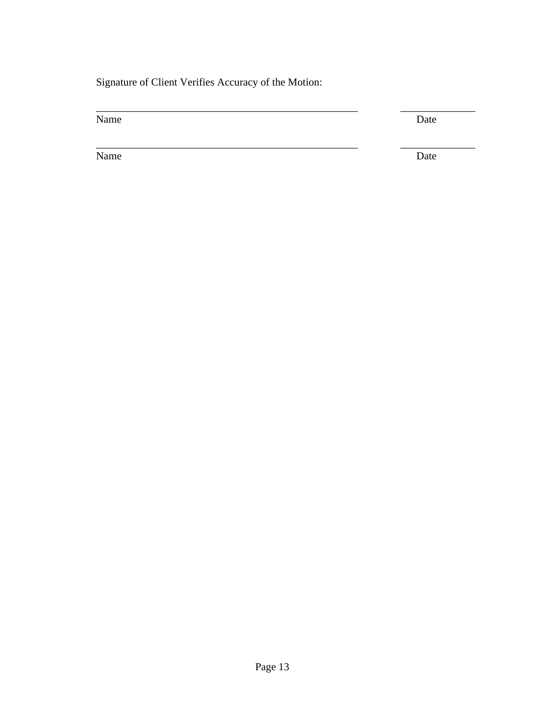Signature of Client Verifies Accuracy of the Motion:

\_\_\_\_\_\_\_\_\_\_\_\_\_\_\_\_\_\_\_\_\_\_\_\_\_\_\_\_\_\_\_\_\_\_\_\_\_\_\_\_\_\_\_\_\_\_\_\_\_ \_\_\_\_\_\_\_\_\_\_\_\_\_\_

Name Date

\_\_\_\_\_\_\_\_\_\_\_\_\_\_\_\_\_\_\_\_\_\_\_\_\_\_\_\_\_\_\_\_\_\_\_\_\_\_\_\_\_\_\_\_\_\_\_\_\_ \_\_\_\_\_\_\_\_\_\_\_\_\_\_

Name Date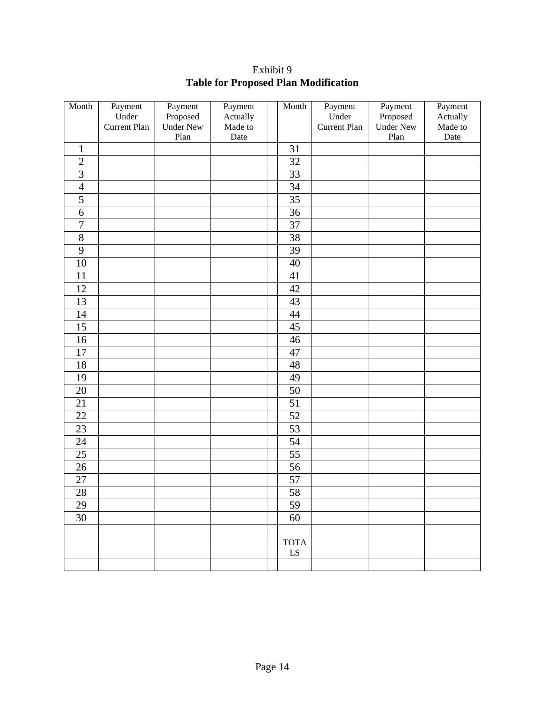Exhibit 9 **Table for Proposed Plan Modification**

| Month           | Payment      | Payment          | Payment  | Month           | Payment      | Payment          | Payment  |
|-----------------|--------------|------------------|----------|-----------------|--------------|------------------|----------|
|                 | Under        | Proposed         | Actually |                 | Under        | Proposed         | Actually |
|                 | Current Plan | <b>Under New</b> | Made to  |                 | Current Plan | <b>Under New</b> | Made to  |
|                 |              | Plan             | Date     |                 |              | Plan             | Date     |
| $\mathbf{1}$    |              |                  |          | 31              |              |                  |          |
| $\overline{2}$  |              |                  |          | 32              |              |                  |          |
| $\overline{3}$  |              |                  |          | $\overline{33}$ |              |                  |          |
| $\overline{4}$  |              |                  |          | 34              |              |                  |          |
| 5               |              |                  |          | 35              |              |                  |          |
| 6               |              |                  |          | 36              |              |                  |          |
| $\overline{7}$  |              |                  |          | 37              |              |                  |          |
| $8\,$           |              |                  |          | 38              |              |                  |          |
| 9               |              |                  |          | 39              |              |                  |          |
| $10\,$          |              |                  |          | 40              |              |                  |          |
| $11\,$          |              |                  |          | 41              |              |                  |          |
| 12              |              |                  |          | 42              |              |                  |          |
| 13              |              |                  |          | 43              |              |                  |          |
| 14              |              |                  |          | $44\,$          |              |                  |          |
| 15              |              |                  |          | $45\,$          |              |                  |          |
| 16              |              |                  |          | 46              |              |                  |          |
| 17              |              |                  |          | 47              |              |                  |          |
| 18              |              |                  |          | 48              |              |                  |          |
| 19              |              |                  |          | 49              |              |                  |          |
| $20\,$          |              |                  |          | 50              |              |                  |          |
| 21              |              |                  |          | $\overline{51}$ |              |                  |          |
| $22\,$          |              |                  |          | 52              |              |                  |          |
| 23              |              |                  |          | 53              |              |                  |          |
| $\overline{24}$ |              |                  |          | $\overline{54}$ |              |                  |          |
| 25              |              |                  |          | 55              |              |                  |          |
| 26              |              |                  |          | 56              |              |                  |          |
| $27\,$          |              |                  |          | 57              |              |                  |          |
| $28\,$          |              |                  |          | 58              |              |                  |          |
| 29              |              |                  |          | 59              |              |                  |          |
| $\overline{30}$ |              |                  |          | 60              |              |                  |          |
|                 |              |                  |          |                 |              |                  |          |
|                 |              |                  |          | <b>TOTA</b>     |              |                  |          |
|                 |              |                  |          | ${\rm LS}$      |              |                  |          |
|                 |              |                  |          |                 |              |                  |          |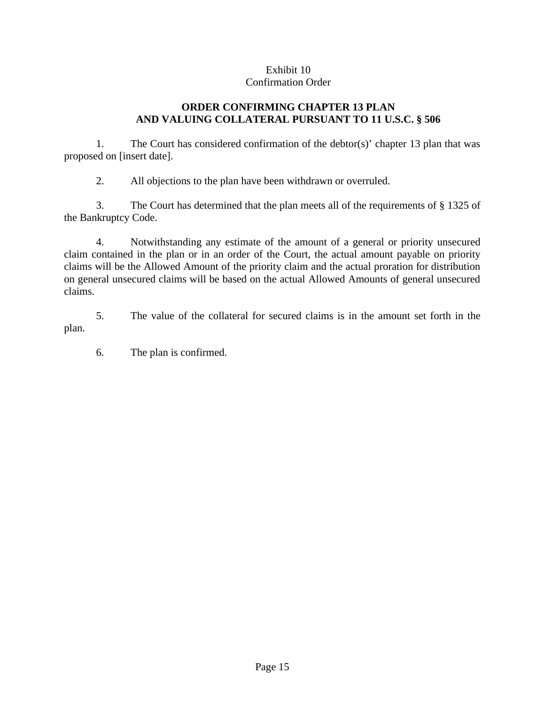#### Exhibit 10 Confirmation Order

## **ORDER CONFIRMING CHAPTER 13 PLAN AND VALUING COLLATERAL PURSUANT TO 11 U.S.C. § 506**

1. The Court has considered confirmation of the debtor(s)' chapter 13 plan that was proposed on [insert date].

2. All objections to the plan have been withdrawn or overruled.

3. The Court has determined that the plan meets all of the requirements of § 1325 of the Bankruptcy Code.

4. Notwithstanding any estimate of the amount of a general or priority unsecured claim contained in the plan or in an order of the Court, the actual amount payable on priority claims will be the Allowed Amount of the priority claim and the actual proration for distribution on general unsecured claims will be based on the actual Allowed Amounts of general unsecured claims.

5. The value of the collateral for secured claims is in the amount set forth in the plan.

6. The plan is confirmed.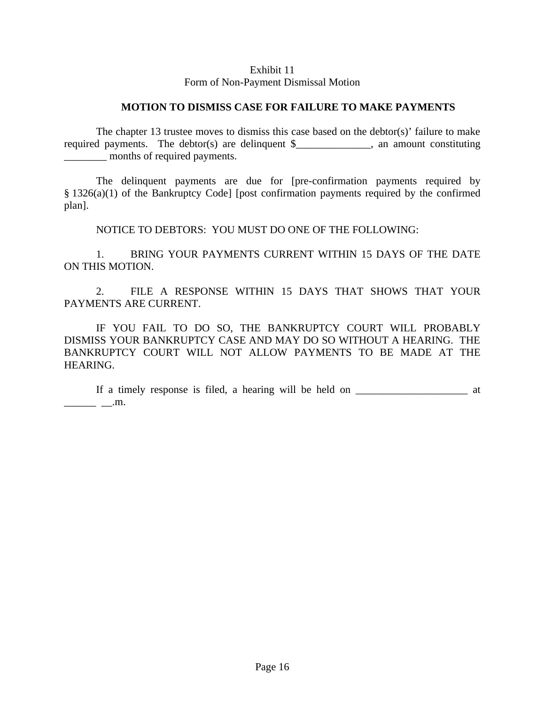#### Exhibit 11

#### Form of Non-Payment Dismissal Motion

#### **MOTION TO DISMISS CASE FOR FAILURE TO MAKE PAYMENTS**

The chapter 13 trustee moves to dismiss this case based on the debtor(s)' failure to make required payments. The debtor(s) are delinquent \$\_\_\_\_\_\_\_\_\_\_\_\_, an amount constituting \_\_\_\_\_\_\_\_ months of required payments.

The delinquent payments are due for [pre-confirmation payments required by § 1326(a)(1) of the Bankruptcy Code] [post confirmation payments required by the confirmed plan].

NOTICE TO DEBTORS: YOU MUST DO ONE OF THE FOLLOWING:

1. BRING YOUR PAYMENTS CURRENT WITHIN 15 DAYS OF THE DATE ON THIS MOTION.

2. FILE A RESPONSE WITHIN 15 DAYS THAT SHOWS THAT YOUR PAYMENTS ARE CURRENT.

IF YOU FAIL TO DO SO, THE BANKRUPTCY COURT WILL PROBABLY DISMISS YOUR BANKRUPTCY CASE AND MAY DO SO WITHOUT A HEARING. THE BANKRUPTCY COURT WILL NOT ALLOW PAYMENTS TO BE MADE AT THE HEARING.

If a timely response is filed, a hearing will be held on \_\_\_\_\_\_\_\_\_\_\_\_\_\_\_\_\_\_\_\_\_\_\_\_ at  $\qquad \qquad \boxed{\ldots}$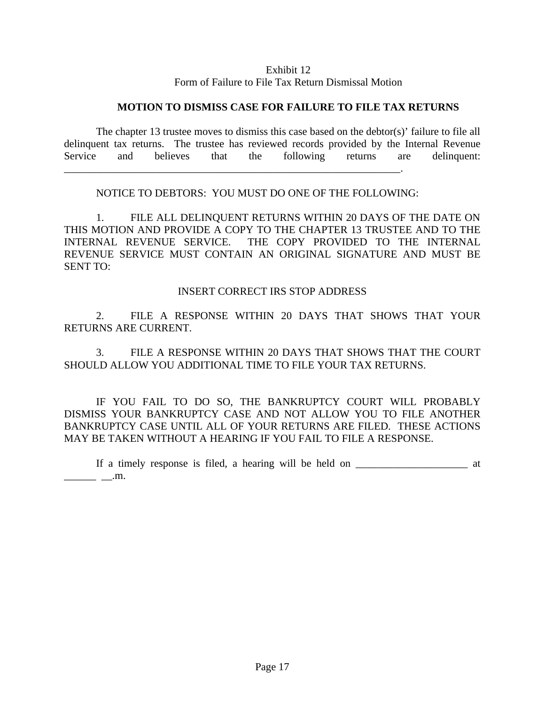#### Exhibit 12

Form of Failure to File Tax Return Dismissal Motion

#### **MOTION TO DISMISS CASE FOR FAILURE TO FILE TAX RETURNS**

The chapter 13 trustee moves to dismiss this case based on the debtor(s)' failure to file all delinquent tax returns. The trustee has reviewed records provided by the Internal Revenue Service and believes that the following returns are delinquent: \_\_\_\_\_\_\_\_\_\_\_\_\_\_\_\_\_\_\_\_\_\_\_\_\_\_\_\_\_\_\_\_\_\_\_\_\_\_\_\_\_\_\_\_\_\_\_\_\_\_\_\_\_\_\_\_\_\_\_\_\_\_\_.

NOTICE TO DEBTORS: YOU MUST DO ONE OF THE FOLLOWING:

1. FILE ALL DELINQUENT RETURNS WITHIN 20 DAYS OF THE DATE ON THIS MOTION AND PROVIDE A COPY TO THE CHAPTER 13 TRUSTEE AND TO THE INTERNAL REVENUE SERVICE. THE COPY PROVIDED TO THE INTERNAL REVENUE SERVICE MUST CONTAIN AN ORIGINAL SIGNATURE AND MUST BE SENT TO:

INSERT CORRECT IRS STOP ADDRESS

2. FILE A RESPONSE WITHIN 20 DAYS THAT SHOWS THAT YOUR RETURNS ARE CURRENT.

3. FILE A RESPONSE WITHIN 20 DAYS THAT SHOWS THAT THE COURT SHOULD ALLOW YOU ADDITIONAL TIME TO FILE YOUR TAX RETURNS.

IF YOU FAIL TO DO SO, THE BANKRUPTCY COURT WILL PROBABLY DISMISS YOUR BANKRUPTCY CASE AND NOT ALLOW YOU TO FILE ANOTHER BANKRUPTCY CASE UNTIL ALL OF YOUR RETURNS ARE FILED. THESE ACTIONS MAY BE TAKEN WITHOUT A HEARING IF YOU FAIL TO FILE A RESPONSE.

If a timely response is filed, a hearing will be held on \_\_\_\_\_\_\_\_\_\_\_\_\_\_\_\_\_\_\_\_\_\_\_\_ at  $\_\_$   $\_\_$ .m.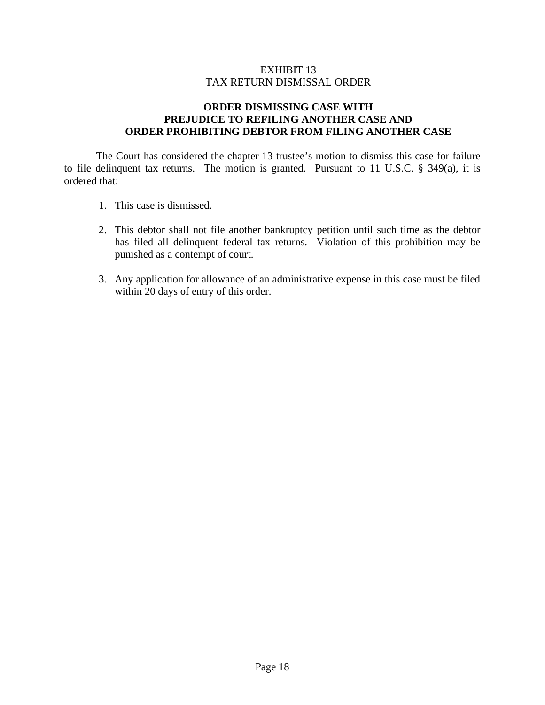## EXHIBIT 13 TAX RETURN DISMISSAL ORDER

## **ORDER DISMISSING CASE WITH PREJUDICE TO REFILING ANOTHER CASE AND ORDER PROHIBITING DEBTOR FROM FILING ANOTHER CASE**

The Court has considered the chapter 13 trustee's motion to dismiss this case for failure to file delinquent tax returns. The motion is granted. Pursuant to 11 U.S.C. § 349(a), it is ordered that:

- 1. This case is dismissed.
- 2. This debtor shall not file another bankruptcy petition until such time as the debtor has filed all delinquent federal tax returns. Violation of this prohibition may be punished as a contempt of court.
- 3. Any application for allowance of an administrative expense in this case must be filed within 20 days of entry of this order.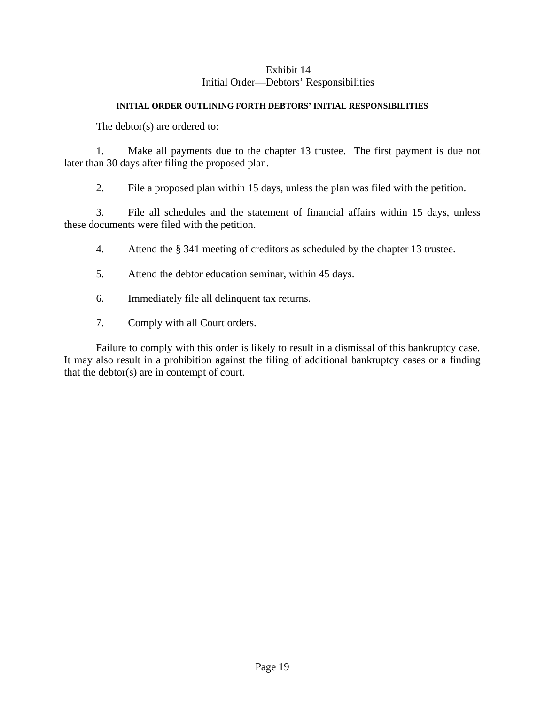## Exhibit 14 Initial Order—Debtors' Responsibilities

#### **INITIAL ORDER OUTLINING FORTH DEBTORS' INITIAL RESPONSIBILITIES**

The debtor(s) are ordered to:

1. Make all payments due to the chapter 13 trustee. The first payment is due not later than 30 days after filing the proposed plan.

2. File a proposed plan within 15 days, unless the plan was filed with the petition.

3. File all schedules and the statement of financial affairs within 15 days, unless these documents were filed with the petition.

- 4. Attend the § 341 meeting of creditors as scheduled by the chapter 13 trustee.
- 5. Attend the debtor education seminar, within 45 days.
- 6. Immediately file all delinquent tax returns.
- 7. Comply with all Court orders.

Failure to comply with this order is likely to result in a dismissal of this bankruptcy case. It may also result in a prohibition against the filing of additional bankruptcy cases or a finding that the debtor(s) are in contempt of court.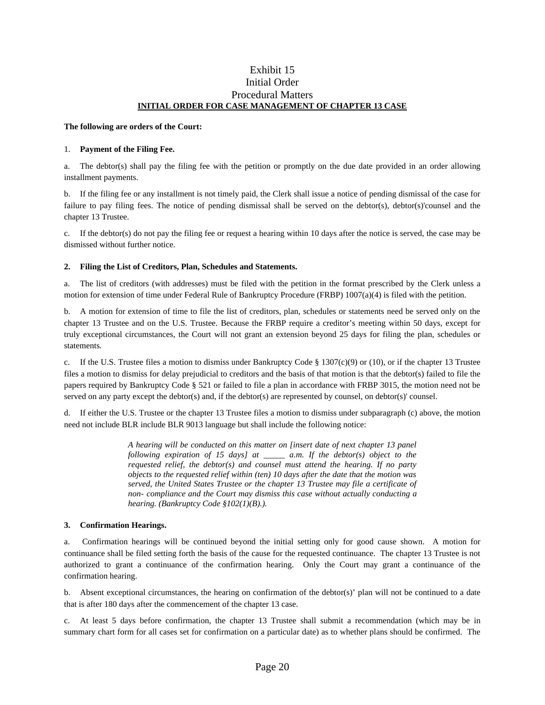#### Exhibit 15 Initial Order Procedural Matters **INITIAL ORDER FOR CASE MANAGEMENT OF CHAPTER 13 CASE**

#### **The following are orders of the Court:**

#### 1. **Payment of the Filing Fee.**

a. The debtor(s) shall pay the filing fee with the petition or promptly on the due date provided in an order allowing installment payments.

b. If the filing fee or any installment is not timely paid, the Clerk shall issue a notice of pending dismissal of the case for failure to pay filing fees. The notice of pending dismissal shall be served on the debtor(s), debtor(s)'counsel and the chapter 13 Trustee.

c. If the debtor(s) do not pay the filing fee or request a hearing within 10 days after the notice is served, the case may be dismissed without further notice.

#### **2. Filing the List of Creditors, Plan, Schedules and Statements.**

a. The list of creditors (with addresses) must be filed with the petition in the format prescribed by the Clerk unless a motion for extension of time under Federal Rule of Bankruptcy Procedure (FRBP) 1007(a)(4) is filed with the petition.

b. A motion for extension of time to file the list of creditors, plan, schedules or statements need be served only on the chapter 13 Trustee and on the U.S. Trustee. Because the FRBP require a creditor's meeting within 50 days, except for truly exceptional circumstances, the Court will not grant an extension beyond 25 days for filing the plan, schedules or statements*.*

c. If the U.S. Trustee files a motion to dismiss under Bankruptcy Code  $\S 1307(c)(9)$  or (10), or if the chapter 13 Trustee files a motion to dismiss for delay prejudicial to creditors and the basis of that motion is that the debtor(s) failed to file the papers required by Bankruptcy Code § 521 or failed to file a plan in accordance with FRBP 3015, the motion need not be served on any party except the debtor(s) and, if the debtor(s) are represented by counsel, on debtor(s)' counsel.

d. If either the U.S. Trustee or the chapter 13 Trustee files a motion to dismiss under subparagraph (c) above, the motion need not include BLR include BLR 9013 language but shall include the following notice:

> *A hearing will be conducted on this matter on [insert date of next chapter 13 panel following expiration of 15 days] at \_\_\_\_\_ a.m. If the debtor(s) object to the requested relief, the debtor(s) and counsel must attend the hearing. If no party objects to the requested relief within (ten) 10 days after the date that the motion was served, the United States Trustee or the chapter 13 Trustee may file a certificate of non- compliance and the Court may dismiss this case without actually conducting a hearing. (Bankruptcy Code §102(1)(B).).*

#### **3. Confirmation Hearings.**

a. Confirmation hearings will be continued beyond the initial setting only for good cause shown. A motion for continuance shall be filed setting forth the basis of the cause for the requested continuance. The chapter 13 Trustee is not authorized to grant a continuance of the confirmation hearing. Only the Court may grant a continuance of the confirmation hearing.

b. Absent exceptional circumstances, the hearing on confirmation of the debtor(s)' plan will not be continued to a date that is after 180 days after the commencement of the chapter 13 case.

c. At least 5 days before confirmation, the chapter 13 Trustee shall submit a recommendation (which may be in summary chart form for all cases set for confirmation on a particular date) as to whether plans should be confirmed. The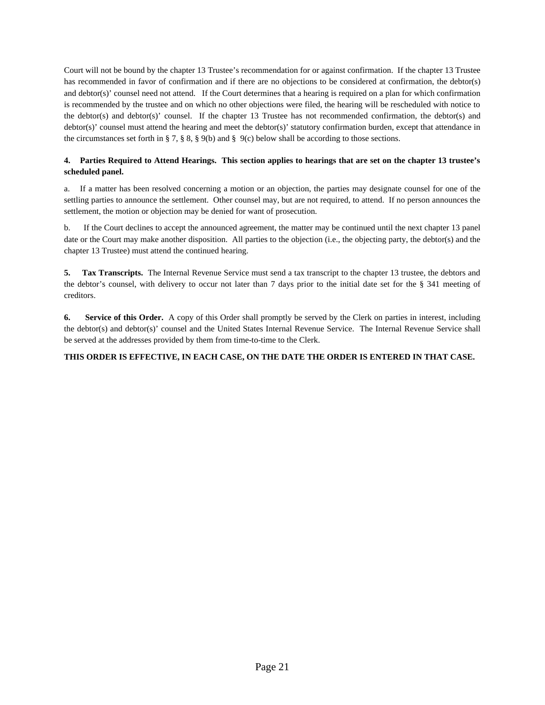Court will not be bound by the chapter 13 Trustee's recommendation for or against confirmation. If the chapter 13 Trustee has recommended in favor of confirmation and if there are no objections to be considered at confirmation, the debtor(s) and debtor(s)' counsel need not attend. If the Court determines that a hearing is required on a plan for which confirmation is recommended by the trustee and on which no other objections were filed, the hearing will be rescheduled with notice to the debtor(s) and debtor(s)' counsel. If the chapter 13 Trustee has not recommended confirmation, the debtor(s) and debtor(s)' counsel must attend the hearing and meet the debtor(s)' statutory confirmation burden, except that attendance in the circumstances set forth in § 7, § 8, § 9(b) and § 9(c) below shall be according to those sections.

#### **4. Parties Required to Attend Hearings. This section applies to hearings that are set on the chapter 13 trustee's scheduled panel.**

a. If a matter has been resolved concerning a motion or an objection, the parties may designate counsel for one of the settling parties to announce the settlement. Other counsel may, but are not required, to attend. If no person announces the settlement, the motion or objection may be denied for want of prosecution.

b. If the Court declines to accept the announced agreement, the matter may be continued until the next chapter 13 panel date or the Court may make another disposition. All parties to the objection (i.e., the objecting party, the debtor(s) and the chapter 13 Trustee) must attend the continued hearing.

**5. Tax Transcripts.** The Internal Revenue Service must send a tax transcript to the chapter 13 trustee, the debtors and the debtor's counsel, with delivery to occur not later than 7 days prior to the initial date set for the § 341 meeting of creditors.

**6. Service of this Order.** A copy of this Order shall promptly be served by the Clerk on parties in interest, including the debtor(s) and debtor(s)' counsel and the United States Internal Revenue Service. The Internal Revenue Service shall be served at the addresses provided by them from time-to-time to the Clerk.

#### **THIS ORDER IS EFFECTIVE, IN EACH CASE, ON THE DATE THE ORDER IS ENTERED IN THAT CASE.**